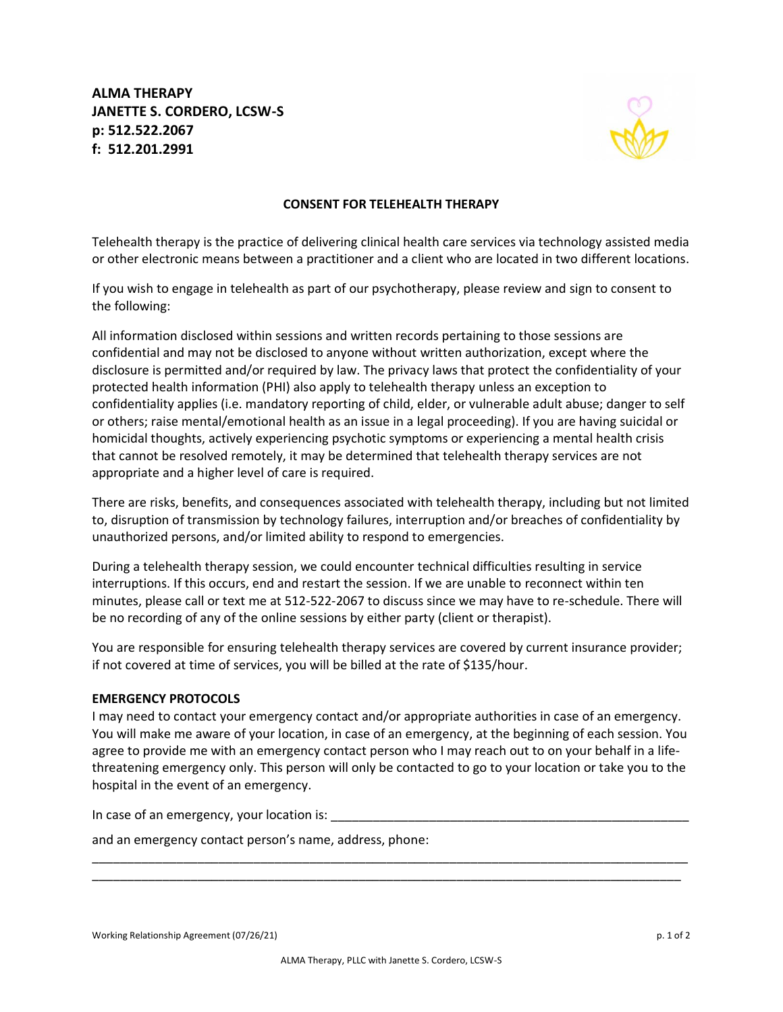**ALMA THERAPY JANETTE S. CORDERO, LCSW-S p: 512.522.2067 f: 512.201.2991**



## **CONSENT FOR TELEHEALTH THERAPY**

Telehealth therapy is the practice of delivering clinical health care services via technology assisted media or other electronic means between a practitioner and a client who are located in two different locations.

If you wish to engage in telehealth as part of our psychotherapy, please review and sign to consent to the following:

All information disclosed within sessions and written records pertaining to those sessions are confidential and may not be disclosed to anyone without written authorization, except where the disclosure is permitted and/or required by law. The privacy laws that protect the confidentiality of your protected health information (PHI) also apply to telehealth therapy unless an exception to confidentiality applies (i.e. mandatory reporting of child, elder, or vulnerable adult abuse; danger to self or others; raise mental/emotional health as an issue in a legal proceeding). If you are having suicidal or homicidal thoughts, actively experiencing psychotic symptoms or experiencing a mental health crisis that cannot be resolved remotely, it may be determined that telehealth therapy services are not appropriate and a higher level of care is required.

There are risks, benefits, and consequences associated with telehealth therapy, including but not limited to, disruption of transmission by technology failures, interruption and/or breaches of confidentiality by unauthorized persons, and/or limited ability to respond to emergencies.

During a telehealth therapy session, we could encounter technical difficulties resulting in service interruptions. If this occurs, end and restart the session. If we are unable to reconnect within ten minutes, please call or text me at 512-522-2067 to discuss since we may have to re-schedule. There will be no recording of any of the online sessions by either party (client or therapist).

You are responsible for ensuring telehealth therapy services are covered by current insurance provider; if not covered at time of services, you will be billed at the rate of \$135/hour.

## **EMERGENCY PROTOCOLS**

I may need to contact your emergency contact and/or appropriate authorities in case of an emergency. You will make me aware of your location, in case of an emergency, at the beginning of each session. You agree to provide me with an emergency contact person who I may reach out to on your behalf in a lifethreatening emergency only. This person will only be contacted to go to your location or take you to the hospital in the event of an emergency.

\_\_\_\_\_\_\_\_\_\_\_\_\_\_\_\_\_\_\_\_\_\_\_\_\_\_\_\_\_\_\_\_\_\_\_\_\_\_\_\_\_\_\_\_\_\_\_\_\_\_\_\_\_\_\_\_\_\_\_\_\_\_\_\_\_\_\_\_\_\_\_\_\_\_\_\_\_\_\_\_\_\_\_\_\_ \_\_\_\_\_\_\_\_\_\_\_\_\_\_\_\_\_\_\_\_\_\_\_\_\_\_\_\_\_\_\_\_\_\_\_\_\_\_\_\_\_\_\_\_\_\_\_\_\_\_\_\_\_\_\_\_\_\_\_\_\_\_\_\_\_\_\_\_\_\_\_\_\_\_\_\_\_\_\_\_\_\_\_\_

In case of an emergency, your location is: \_\_\_\_\_\_\_\_\_\_\_\_\_\_\_\_\_\_\_\_\_\_\_\_\_\_\_\_\_\_\_\_\_\_\_\_\_\_\_\_\_\_\_\_\_\_\_\_\_\_\_

and an emergency contact person's name, address, phone: